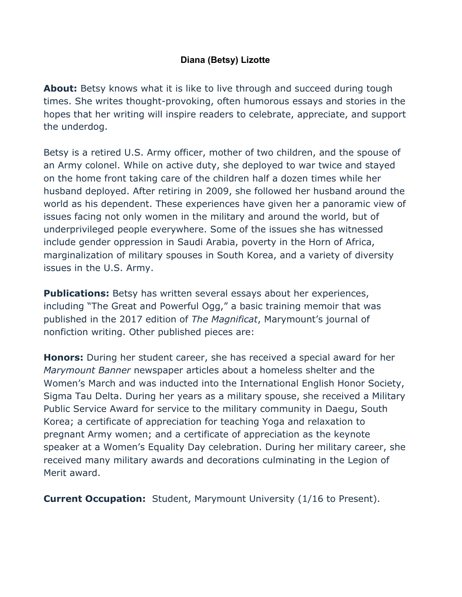## **Diana (Betsy) Lizotte**

**About:** Betsy knows what it is like to live through and succeed during tough times. She writes thought-provoking, often humorous essays and stories in the hopes that her writing will inspire readers to celebrate, appreciate, and support the underdog.

Betsy is a retired U.S. Army officer, mother of two children, and the spouse of an Army colonel. While on active duty, she deployed to war twice and stayed on the home front taking care of the children half a dozen times while her husband deployed. After retiring in 2009, she followed her husband around the world as his dependent. These experiences have given her a panoramic view of issues facing not only women in the military and around the world, but of underprivileged people everywhere. Some of the issues she has witnessed include gender oppression in Saudi Arabia, poverty in the Horn of Africa, marginalization of military spouses in South Korea, and a variety of diversity issues in the U.S. Army.

**Publications:** Betsy has written several essays about her experiences, including "The Great and Powerful Ogg," a basic training memoir that was published in the 2017 edition of *The Magnificat*, Marymount's journal of nonfiction writing. Other published pieces are:

**Honors:** During her student career, she has received a special award for her *Marymount Banner* newspaper articles about a homeless shelter and the Women's March and was inducted into the International English Honor Society, Sigma Tau Delta. During her years as a military spouse, she received a Military Public Service Award for service to the military community in Daegu, South Korea; a certificate of appreciation for teaching Yoga and relaxation to pregnant Army women; and a certificate of appreciation as the keynote speaker at a Women's Equality Day celebration. During her military career, she received many military awards and decorations culminating in the Legion of Merit award.

**Current Occupation:** Student, Marymount University (1/16 to Present).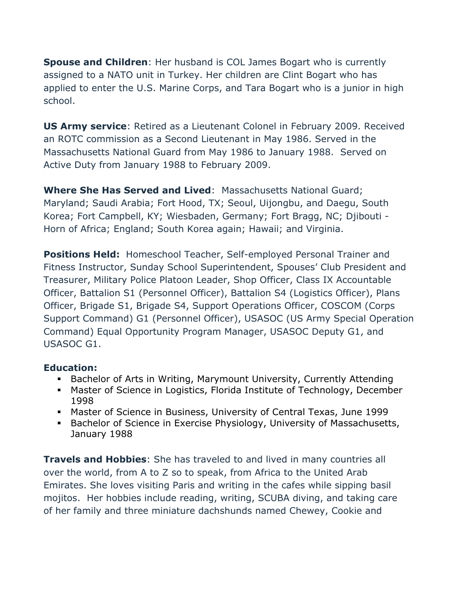**Spouse and Children**: Her husband is COL James Bogart who is currently assigned to a NATO unit in Turkey. Her children are Clint Bogart who has applied to enter the U.S. Marine Corps, and Tara Bogart who is a junior in high school.

**US Army service**: Retired as a Lieutenant Colonel in February 2009. Received an ROTC commission as a Second Lieutenant in May 1986. Served in the Massachusetts National Guard from May 1986 to January 1988. Served on Active Duty from January 1988 to February 2009.

**Where She Has Served and Lived**: Massachusetts National Guard; Maryland; Saudi Arabia; Fort Hood, TX; Seoul, Uijongbu, and Daegu, South Korea; Fort Campbell, KY; Wiesbaden, Germany; Fort Bragg, NC; Djibouti - Horn of Africa; England; South Korea again; Hawaii; and Virginia.

**Positions Held:** Homeschool Teacher, Self-employed Personal Trainer and Fitness Instructor, Sunday School Superintendent, Spouses' Club President and Treasurer, Military Police Platoon Leader, Shop Officer, Class IX Accountable Officer, Battalion S1 (Personnel Officer), Battalion S4 (Logistics Officer), Plans Officer, Brigade S1, Brigade S4, Support Operations Officer, COSCOM (Corps Support Command) G1 (Personnel Officer), USASOC (US Army Special Operation Command) Equal Opportunity Program Manager, USASOC Deputy G1, and USASOC G1.

## **Education:**

- Bachelor of Arts in Writing, Marymount University, Currently Attending
- § Master of Science in Logistics, Florida Institute of Technology, December 1998
- § Master of Science in Business, University of Central Texas, June 1999
- Bachelor of Science in Exercise Physiology, University of Massachusetts, January 1988

**Travels and Hobbies**: She has traveled to and lived in many countries all over the world, from A to Z so to speak, from Africa to the United Arab Emirates. She loves visiting Paris and writing in the cafes while sipping basil mojitos. Her hobbies include reading, writing, SCUBA diving, and taking care of her family and three miniature dachshunds named Chewey, Cookie and